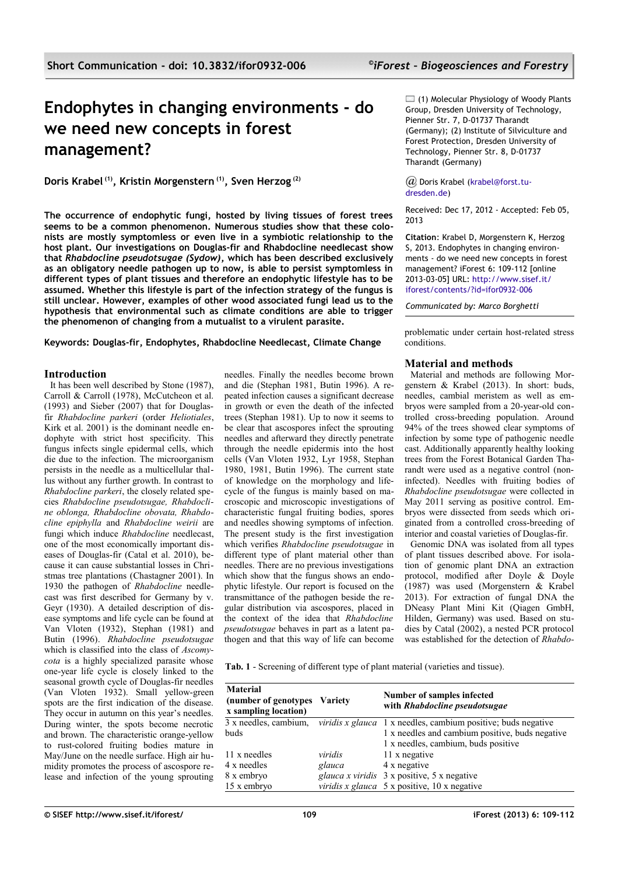# **Endophytes in changing environments - do we need new concepts in forest management?**

**Doris Krabel (1), Kristin Morgenstern (1), Sven Herzog (2)**

**The occurrence of endophytic fungi, hosted by living tissues of forest trees seems to be a common phenomenon. Numerous studies show that these colonists are mostly symptomless or even live in a symbiotic relationship to the host plant. Our investigations on Douglas-fir and Rhabdocline needlecast show that** *Rhabdocline pseudotsugae (Sydow)***, which has been described exclusively as an obligatory needle pathogen up to now, is able to persist symptomless in different types of plant tissues and therefore an endophytic lifestyle has to be assumed. Whether this lifestyle is part of the infection strategy of the fungus is still unclear. However, examples of other wood associated fungi lead us to the hypothesis that environmental such as climate conditions are able to trigger the phenomenon of changing from a mutualist to a virulent parasite.**

**Keywords: Douglas-fir, Endophytes, Rhabdocline Needlecast, Climate Change**

### **Introduction**

It has been well described by Stone (1987), Carroll & Carroll (1978), McCutcheon et al. (1993) and Sieber (2007) that for Douglasfir *Rhabdocline parkeri* (order *Heliotiales*, Kirk et al. 2001) is the dominant needle endophyte with strict host specificity. This fungus infects single epidermal cells, which die due to the infection. The microorganism persists in the needle as a multicellular thallus without any further growth. In contrast to *Rhabdocline parkeri*, the closely related species *Rhabdocline pseudotsugae, Rhabdocline oblonga, Rhabdocline obovata, Rhabdocline epiphylla* and *Rhabdocline weirii* are fungi which induce *Rhabdocline* needlecast, one of the most economically important diseases of Douglas-fir (Catal et al. 2010), because it can cause substantial losses in Christmas tree plantations (Chastagner 2001). In 1930 the pathogen of *Rhabdocline* needlecast was first described for Germany by v. Geyr (1930). A detailed description of disease symptoms and life cycle can be found at Van Vloten (1932), Stephan (1981) and Butin (1996). *Rhabdocline pseudotsugae* which is classified into the class of *Ascomycota* is a highly specialized parasite whose one-year life cycle is closely linked to the seasonal growth cycle of Douglas-fir needles (Van Vloten 1932). Small yellow-green spots are the first indication of the disease. They occur in autumn on this year's needles. During winter, the spots become necrotic and brown. The characteristic orange-yellow to rust-colored fruiting bodies mature in May/June on the needle surface. High air humidity promotes the process of ascospore release and infection of the young sprouting needles. Finally the needles become brown and die (Stephan 1981, Butin 1996). A repeated infection causes a significant decrease in growth or even the death of the infected trees (Stephan 1981). Up to now it seems to be clear that ascospores infect the sprouting needles and afterward they directly penetrate through the needle epidermis into the host cells (Van Vloten 1932, Lyr 1958, Stephan 1980, 1981, Butin 1996). The current state of knowledge on the morphology and lifecycle of the fungus is mainly based on macroscopic and microscopic investigations of characteristic fungal fruiting bodies, spores and needles showing symptoms of infection. The present study is the first investigation which verifies *Rhabdocline pseudotsugae* in different type of plant material other than needles. There are no previous investigations which show that the fungus shows an endophytic lifestyle. Our report is focused on the transmittance of the pathogen beside the regular distribution via ascospores, placed in the context of the idea that *Rhabdocline pseudotsugae* behaves in part as a latent pathogen and that this way of life can become  $\Box$  (1) Molecular Physiology of Woody Plants Group, Dresden University of Technology, Pienner Str. 7, D-01737 Tharandt (Germany); (2) Institute of Silviculture and Forest Protection, Dresden University of Technology, Pienner Str. 8, D-01737 Tharandt (Germany)

#### *@* Doris Krabel [\(krabel@forst.tu](mailto:)[dresden.de\)](mailto:)

Received: Dec 17, 2012 - Accepted: Feb 05, 2013

**Citation**: Krabel D, Morgenstern K, Herzog S, 2013. Endophytes in changing environments - do we need new concepts in forest management? iForest 6: 109-112 [online 2013-03-05] URL: [http://www.sisef.it/](http://www.sisef.it/iforest/contents/?id=ifor0932-006) [iforest/contents/?id=ifor0932-006](http://www.sisef.it/iforest/contents/?id=ifor0932-006)

*Communicated by: Marco Borghetti*

problematic under certain host-related stress conditions.

### **Material and methods**

Material and methods are following Morgenstern & Krabel (2013). In short: buds, needles, cambial meristem as well as embryos were sampled from a 20-year-old controlled cross-breeding population. Around 94% of the trees showed clear symptoms of infection by some type of pathogenic needle cast. Additionally apparently healthy looking trees from the Forest Botanical Garden Tharandt were used as a negative control (noninfected). Needles with fruiting bodies of *Rhabdocline pseudotsugae* were collected in May 2011 serving as positive control. Embryos were dissected from seeds which originated from a controlled cross-breeding of interior and coastal varieties of Douglas-fir.

Genomic DNA was isolated from all types of plant tissues described above. For isolation of genomic plant DNA an extraction protocol, modified after Doyle & Doyle (1987) was used (Morgenstern & Krabel 2013). For extraction of fungal DNA the DNeasy Plant Mini Kit (Qiagen GmbH, Hilden, Germany) was used. Based on studies by Catal (2002), a nested PCR protocol was established for the detection of *Rhabdo-*

<span id="page-0-0"></span>**Tab. 1** - Screening of different type of plant material (varieties and tissue).

| <b>Material</b><br>(number of genotypes Variety)<br>x sampling location) |         | Number of samples infected<br>with Rhabdocline pseudotsugae                                 |
|--------------------------------------------------------------------------|---------|---------------------------------------------------------------------------------------------|
|                                                                          |         | $3x$ needles, cambium, <i>viridis x glauca</i> 1 x needles, cambium positive; buds negative |
| buds                                                                     |         | 1 x needles and cambium positive, buds negative                                             |
|                                                                          |         | 1 x needles, cambium, buds positive                                                         |
| 11 x needles                                                             | viridis | 11 x negative                                                                               |
| 4 x needles                                                              | glauca  | 4 x negative                                                                                |
| 8 x embryo                                                               |         | glauca x viridis 3 x positive, 5 x negative                                                 |
| 15 x embryo                                                              |         | <i>viridis x glauca</i> $5x$ positive, 10 x negative                                        |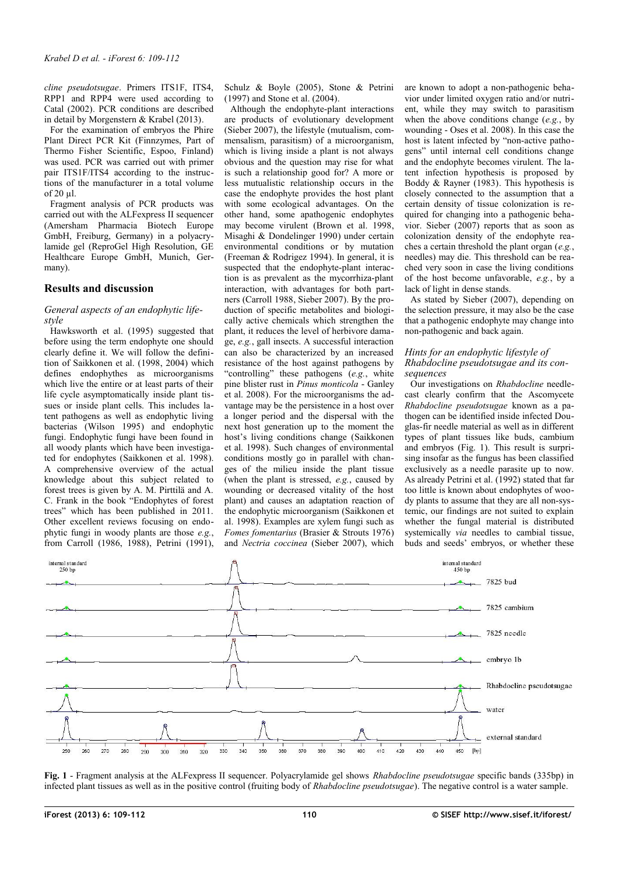*cline pseudotsugae*. Primers ITS1F, ITS4, RPP1 and RPP4 were used according to Catal (2002). PCR conditions are described in detail by Morgenstern & Krabel (2013).

For the examination of embryos the Phire Plant Direct PCR Kit (Finnzymes, Part of Thermo Fisher Scientific, Espoo, Finland) was used. PCR was carried out with primer pair ITS1F/ITS4 according to the instructions of the manufacturer in a total volume of 20 µl.

Fragment analysis of PCR products was carried out with the ALFexpress II sequencer (Amersham Pharmacia Biotech Europe GmbH, Freiburg, Germany) in a polyacrylamide gel (ReproGel High Resolution, GE Healthcare Europe GmbH, Munich, Germany).

## **Results and discussion**

#### *General aspects of an endophytic lifestyle*

Hawksworth et al. (1995) suggested that before using the term endophyte one should clearly define it. We will follow the definition of Saikkonen et al. (1998, 2004) which defines endophythes as microorganisms which live the entire or at least parts of their life cycle asymptomatically inside plant tissues or inside plant cells. This includes latent pathogens as well as endophytic living bacterias (Wilson 1995) and endophytic fungi. Endophytic fungi have been found in all woody plants which have been investigated for endophytes (Saikkonen et al. 1998). A comprehensive overview of the actual knowledge about this subject related to forest trees is given by A. M. Pirttilä and A. C. Frank in the book "Endophytes of forest trees" which has been published in 2011. Other excellent reviews focusing on endophytic fungi in woody plants are those *e.g.*, from Carroll (1986, 1988), Petrini (1991), Schulz & Boyle (2005), Stone & Petrini (1997) and Stone et al. (2004).

Although the endophyte-plant interactions are products of evolutionary development (Sieber 2007), the lifestyle (mutualism, commensalism, parasitism) of a microorganism, which is living inside a plant is not always obvious and the question may rise for what is such a relationship good for? A more or less mutualistic relationship occurs in the case the endophyte provides the host plant with some ecological advantages. On the other hand, some apathogenic endophytes may become virulent (Brown et al. 1998, Misaghi & Dondelinger 1990) under certain environmental conditions or by mutation (Freeman & Rodrigez 1994). In general, it is suspected that the endophyte-plant interaction is as prevalent as the mycorrhiza-plant interaction, with advantages for both partners (Carroll 1988, Sieber 2007). By the production of specific metabolites and biologically active chemicals which strengthen the plant, it reduces the level of herbivore damage, *e.g.*, gall insects. A successful interaction can also be characterized by an increased resistance of the host against pathogens by "controlling" these pathogens (*e.g.*, white pine blister rust in *Pinus monticola* - Ganley et al. 2008). For the microorganisms the advantage may be the persistence in a host over a longer period and the dispersal with the next host generation up to the moment the host's living conditions change (Saikkonen et al. 1998). Such changes of environmental conditions mostly go in parallel with changes of the milieu inside the plant tissue (when the plant is stressed, *e.g.*, caused by wounding or decreased vitality of the host plant) and causes an adaptation reaction of the endophytic microorganism (Saikkonen et al. 1998). Examples are xylem fungi such as *Fomes fomentarius* (Brasier & Strouts 1976) and *Nectria coccinea* (Sieber 2007), which are known to adopt a non-pathogenic behavior under limited oxygen ratio and/or nutrient, while they may switch to parasitism when the above conditions change (*e.g.*, by wounding - Oses et al. 2008). In this case the host is latent infected by "non-active pathogens" until internal cell conditions change and the endophyte becomes virulent. The latent infection hypothesis is proposed by Boddy & Rayner (1983). This hypothesis is closely connected to the assumption that a certain density of tissue colonization is required for changing into a pathogenic behavior. Sieber (2007) reports that as soon as colonization density of the endophyte reaches a certain threshold the plant organ (*e.g.*, needles) may die. This threshold can be reached very soon in case the living conditions of the host become unfavorable, *e.g.*, by a lack of light in dense stands.

As stated by Sieber (2007), depending on the selection pressure, it may also be the case that a pathogenic endophyte may change into non-pathogenic and back again.

#### *Hints for an endophytic lifestyle of Rhabdocline pseudotsugae and its consequences*

Our investigations on *Rhabdocline* needlecast clearly confirm that the Ascomycete *Rhabdocline pseudotsugae* known as a pathogen can be identified inside infected Douglas-fir needle material as well as in different types of plant tissues like buds, cambium and embryos [\(Fig. 1\)](#page-1-0). This result is surprising insofar as the fungus has been classified exclusively as a needle parasite up to now. As already Petrini et al. (1992) stated that far too little is known about endophytes of woody plants to assume that they are all non-systemic, our findings are not suited to explain whether the fungal material is distributed systemically *via* needles to cambial tissue, buds and seeds' embryos, or whether these



<span id="page-1-0"></span>**Fig. 1** - Fragment analysis at the ALFexpress II sequencer. Polyacrylamide gel shows *Rhabdocline pseudotsugae* specific bands (335bp) in infected plant tissues as well as in the positive control (fruiting body of *Rhabdocline pseudotsugae*). The negative control is a water sample.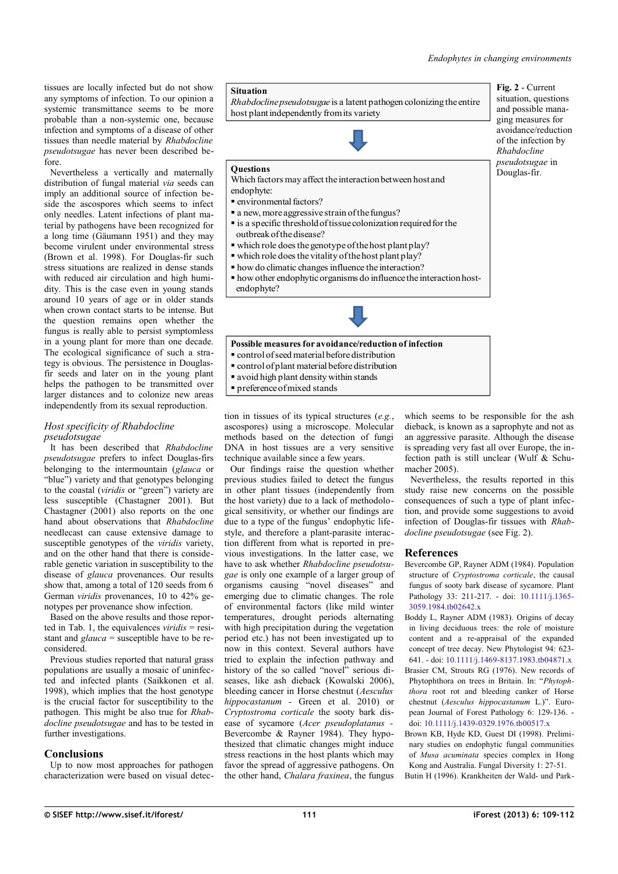tissues are locally infected but do not show any symptoms of infection. To our opinion a systemic transmittance seems to be more probable than a non-systemic one, because infection and symptoms of a disease of other tissues than needle material by *Rhabdocline pseudotsugae* has never been described before.

Nevertheless a vertically and maternally distribution of fungal material *via* seeds can imply an additional source of infection beside the ascospores which seems to infect only needles. Latent infections of plant material by pathogens have been recognized for a long time (Gäumann 1951) and they may become virulent under environmental stress (Brown et al. 1998). For Douglas-fir such stress situations are realized in dense stands with reduced air circulation and high humidity. This is the case even in young stands around 10 years of age or in older stands when crown contact starts to be intense. But the question remains open whether the fungus is really able to persist symptomless in a young plant for more than one decade. The ecological significance of such a strategy is obvious. The persistence in Douglasfir seeds and later on in the young plant helps the pathogen to be transmitted over larger distances and to colonize new areas independently from its sexual reproduction.

## *Host specificity of Rhabdocline pseudotsugae*

It has been described that *Rhabdocline pseudotsugae* prefers to infect Douglas-firs belonging to the intermountain (*glauca* or "blue") variety and that genotypes belonging to the coastal (*viridis* or "green") variety are less susceptible (Chastagner 2001). But Chastagner (2001) also reports on the one hand about observations that *Rhabdocline* needlecast can cause extensive damage to susceptible genotypes of the *viridis* variety, and on the other hand that there is considerable genetic variation in susceptibility to the disease of *glauca* provenances. Our results show that, among a total of 120 seeds from 6 German *viridis* provenances, 10 to 42% genotypes per provenance show infection.

Based on the above results and those reported in [Tab. 1,](#page-0-0) the equivalences *viridis* = resistant and *glauca* = susceptible have to be reconsidered.

Previous studies reported that natural grass populations are usually a mosaic of uninfected and infected plants (Saikkonen et al. 1998), which implies that the host genotype is the crucial factor for susceptibility to the pathogen. This might be also true for *Rhabdocline pseudotsugae* and has to be tested in further investigations.

# **Conclusions**

Up to now most approaches for pathogen characterization were based on visual detec-

## **Situation**

**Questions**

*Rhabdocline pseudotsugae* is a latent pathogen colonizing the entire host plant independently from its variety



<span id="page-2-0"></span>**Fig. 2** - Current situation, questions and possible managing measures for avoidance/reduction of the infection by *Rhabdocline pseudotsugae* in Douglas-fir.

Which factors may affect the interaction between host and endophyte:

- environmental factors?
- a new, more aggressive strain of the fungus?  $\blacksquare$  is a specific threshold of tissue colonization required for the
- outbreak of the disease?
- which role does the genotype of the host plant play?
- which role does the vitality of the host plant play?
- how do climatic changes influence the interaction?
- $\bullet$  how other endophytic organisms do influence the interaction hostendophyte?
- **Possible measures for avoidance/reduction of infection** control of seed material before distribution control of plant material before distribution avoid high plant density within stands
- **preference of mixed stands**

tion in tissues of its typical structures (*e.g.*, ascospores) using a microscope. Molecular methods based on the detection of fungi DNA in host tissues are a very sensitive technique available since a few years.

Our findings raise the question whether previous studies failed to detect the fungus in other plant tissues (independently from the host variety) due to a lack of methodological sensitivity, or whether our findings are due to a type of the fungus' endophytic lifestyle, and therefore a plant-parasite interaction different from what is reported in previous investigations. In the latter case, we have to ask whether *Rhabdocline pseudotsugae* is only one example of a larger group of organisms causing "novel diseases" and emerging due to climatic changes. The role of environmental factors (like mild winter temperatures, drought periods alternating with high precipitation during the vegetation period etc.) has not been investigated up to now in this context. Several authors have tried to explain the infection pathway and history of the so called "novel" serious diseases, like ash dieback (Kowalski 2006), bleeding cancer in Horse chestnut (*Aesculus hippocastanum -* Green et al. 2010) or *Cryptostroma corticale* the sooty bark disease of sycamore (*Acer pseudoplatanus -* Bevercombe & Rayner 1984). They hypothesized that climatic changes might induce stress reactions in the host plants which may favor the spread of aggressive pathogens. On the other hand, *Chalara fraxinea*, the fungus which seems to be responsible for the ash dieback, is known as a saprophyte and not as an aggressive parasite. Although the disease is spreading very fast all over Europe, the infection path is still unclear (Wulf & Schumacher 2005).

Nevertheless, the results reported in this study raise new concerns on the possible consequences of such a type of plant infection, and provide some suggestions to avoid infection of Douglas-fir tissues with *Rhabdocline pseudotsugae* (see [Fig. 2\)](#page-2-0).

# **References**

- Bevercombe GP, Rayner ADM (1984). Population structure of *Cryptostroma corticale*, the causal fungus of sooty bark disease of sycamore. Plant Pathology 33: 211-217. - doi: [10.1111/j.1365-](http://dx.doi.org/10.1111/j.1365-3059.1984.tb02642.x) [3059.1984.tb02642.x](http://dx.doi.org/10.1111/j.1365-3059.1984.tb02642.x)
- Boddy L, Rayner ADM (1983). Origins of decay in living deciduous trees: the role of moisture content and a re-appraisal of the expanded concept of tree decay. New Phytologist 94: 623- 641. - doi: [10.1111/j.1469-8137.1983.tb04871.x](http://dx.doi.org/10.1111/j.1469-8137.1983.tb04871.x)
- Brasier CM, Strouts RG (1976). New records of Phytophthora on trees in Britain. In: "*Phytophthora* root rot and bleeding canker of Horse chestnut (*Aesculus hippocastanum* L.)". European Journal of Forest Pathology 6: 129-136. doi: [10.1111/j.1439-0329.1976.tb00517.x](http://dx.doi.org/10.1111/j.1439-0329.1976.tb00517.x)
- Brown KB, Hyde KD, Guest DI (1998). Preliminary studies on endophytic fungal communities of *Musa acuminata* species complex in Hong Kong and Australia. Fungal Diversity 1: 27-51. Butin H (1996). Krankheiten der Wald- und Park-